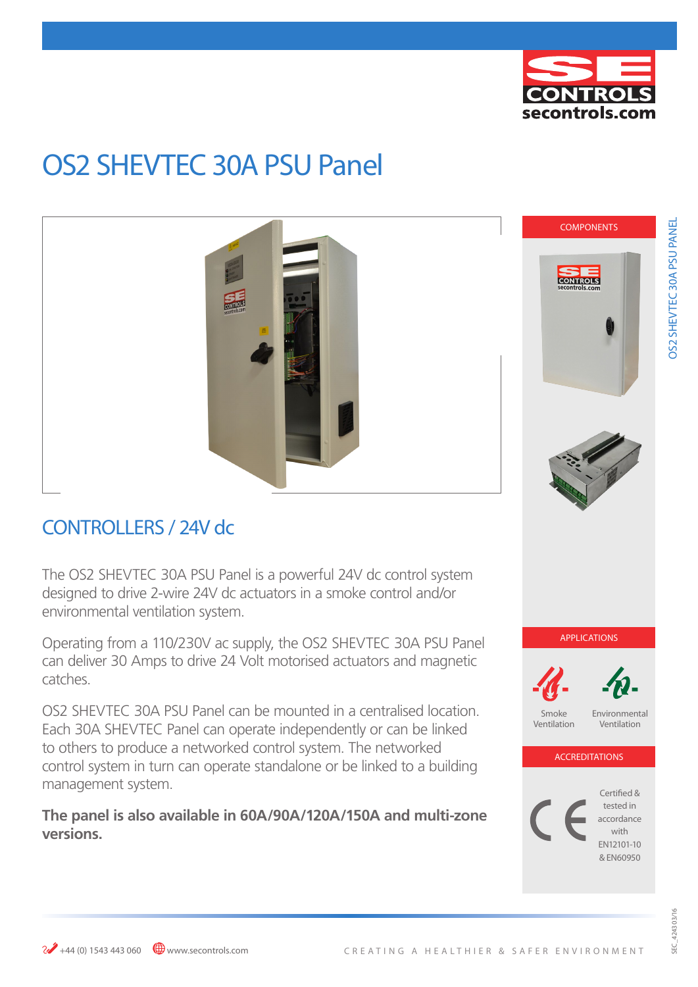

# OS2 SHEVTEC 30A PSU Panel



## CONTROLLERS / 24V dc

The OS2 SHEVTEC 30A PSU Panel is a powerful 24V dc control system designed to drive 2-wire 24V dc actuators in a smoke control and/or environmental ventilation system.

Operating from a 110/230V ac supply, the OS2 SHEVTEC 30A PSU Panel can deliver 30 Amps to drive 24 Volt motorised actuators and magnetic catches.

OS2 SHEVTEC 30A PSU Panel can be mounted in a centralised location. Each 30A SHEVTEC Panel can operate independently or can be linked to others to produce a networked control system. The networked control system in turn can operate standalone or be linked to a building management system.

**The panel is also available in 60A/90A/120A/150A and multi-zone versions.**

**COMPONENTS CONTROLS** 



APPLICATIONS



Smoke Ventilation Environmental Ventilation

### **ACCREDITATIONS**